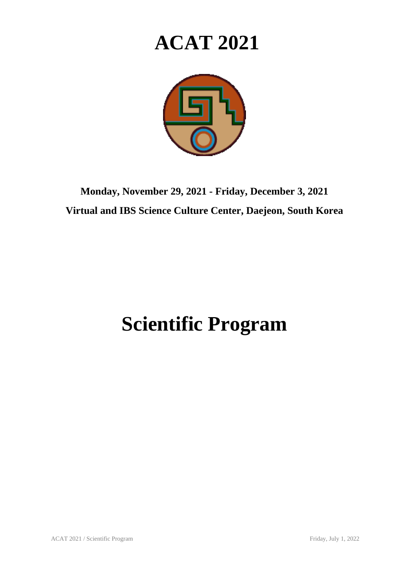## **ACAT 2021**



**Monday, November 29, 2021 - Friday, December 3, 2021 Virtual and IBS Science Culture Center, Daejeon, South Korea**

## **Scientific Program**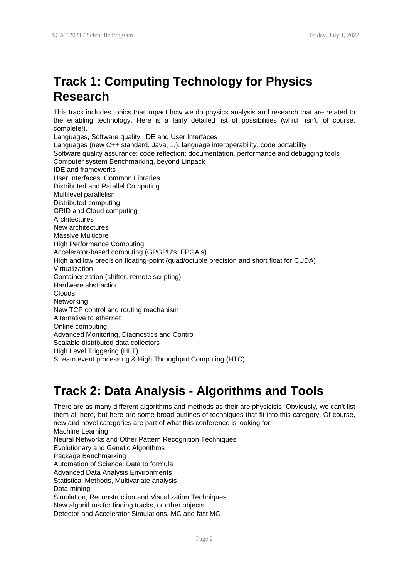This track includes topics that impact how we do physics analysis and research that are related to the enabling technology. Here is a fairly detailed list of possibilities (which isn't, of course, complete!).

Languages, Software quality, IDE and User Interfaces Languages (new C++ standard, Java, ...), language interoperability, code portability Software quality assurance; code reflection; documentation, performance and debugging tools Computer system Benchmarking, beyond Linpack IDE and frameworks User Interfaces, Common Libraries. Distributed and Parallel Computing Multilevel parallelism Distributed computing GRID and Cloud computing Architectures New architectures Massive Multicore High Performance Computing Accelerator-based computing (GPGPU's, FPGA's) High and low precision floating-point (quad/octuple precision and short float for CUDA) Virtualization Containerization (shifter, remote scripting) Hardware abstraction Clouds **Networking** New TCP control and routing mechanism Alternative to ethernet Online computing Advanced Monitoring, Diagnostics and Control Scalable distributed data collectors High Level Triggering (HLT) Stream event processing & High Throughput Computing (HTC)

## **Track 2: Data Analysis - Algorithms and Tools**

There are as many different algorithms and methods as their are physicists. Obviously, we can't list them all here, but here are some broad outlines of techniques that fit into this category. Of course, new and novel categories are part of what this conference is looking for. Machine Learning Neural Networks and Other Pattern Recognition Techniques Evolutionary and Genetic Algorithms Package Benchmarking Automation of Science: Data to formula Advanced Data Analysis Environments Statistical Methods, Multivariate analysis Data mining Simulation, Reconstruction and Visualization Techniques New algorithms for finding tracks, or other objects. Detector and Accelerator Simulations, MC and fast MC